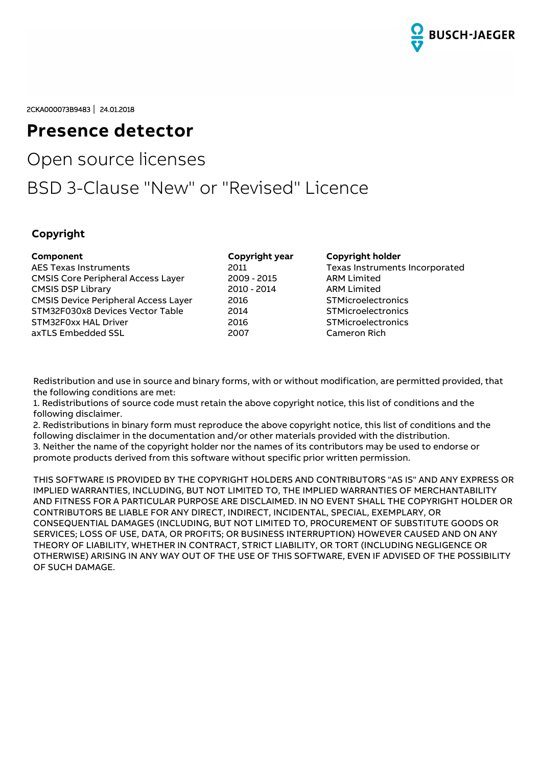

2CKA000073B9483 **│** 24.01.2018

# **Presence detector**

# Open source licenses

# BSD 3-Clause "New" or "Revised" Licence

## **Copyright**

| Component                                   | Copyright year | <b>Copyright holder</b>        |
|---------------------------------------------|----------------|--------------------------------|
| <b>AES Texas Instruments</b>                | 2011           | Texas Instruments Incorporated |
| <b>CMSIS Core Peripheral Access Layer</b>   | 2009 - 2015    | <b>ARM Limited</b>             |
| <b>CMSIS DSP Library</b>                    | 2010 - 2014    | <b>ARM Limited</b>             |
| <b>CMSIS Device Peripheral Access Layer</b> | 2016           | <b>STMicroelectronics</b>      |
| STM32F030x8 Devices Vector Table            | 2014           | <b>STMicroelectronics</b>      |
| STM32F0xx HAL Driver                        | 2016           | <b>STMicroelectronics</b>      |
| axTLS Embedded SSL                          | 2007           | Cameron Rich                   |

Redistribution and use in source and binary forms, with or without modification, are permitted provided, that the following conditions are met:

1. Redistributions of source code must retain the above copyright notice, this list of conditions and the following disclaimer.

2. Redistributions in binary form must reproduce the above copyright notice, this list of conditions and the following disclaimer in the documentation and/or other materials provided with the distribution. 3. Neither the name of the copyright holder nor the names of its contributors may be used to endorse or promote products derived from this software without specific prior written permission.

THIS SOFTWARE IS PROVIDED BY THE COPYRIGHT HOLDERS AND CONTRIBUTORS "AS IS" AND ANY EXPRESS OR IMPLIED WARRANTIES, INCLUDING, BUT NOT LIMITED TO, THE IMPLIED WARRANTIES OF MERCHANTABILITY AND FITNESS FOR A PARTICULAR PURPOSE ARE DISCLAIMED. IN NO EVENT SHALL THE COPYRIGHT HOLDER OR CONTRIBUTORS BE LIABLE FOR ANY DIRECT, INDIRECT, INCIDENTAL, SPECIAL, EXEMPLARY, OR CONSEQUENTIAL DAMAGES (INCLUDING, BUT NOT LIMITED TO, PROCUREMENT OF SUBSTITUTE GOODS OR SERVICES; LOSS OF USE, DATA, OR PROFITS; OR BUSINESS INTERRUPTION) HOWEVER CAUSED AND ON ANY THEORY OF LIABILITY, WHETHER IN CONTRACT, STRICT LIABILITY, OR TORT (INCLUDING NEGLIGENCE OR OTHERWISE) ARISING IN ANY WAY OUT OF THE USE OF THIS SOFTWARE, EVEN IF ADVISED OF THE POSSIBILITY OF SUCH DAMAGE.